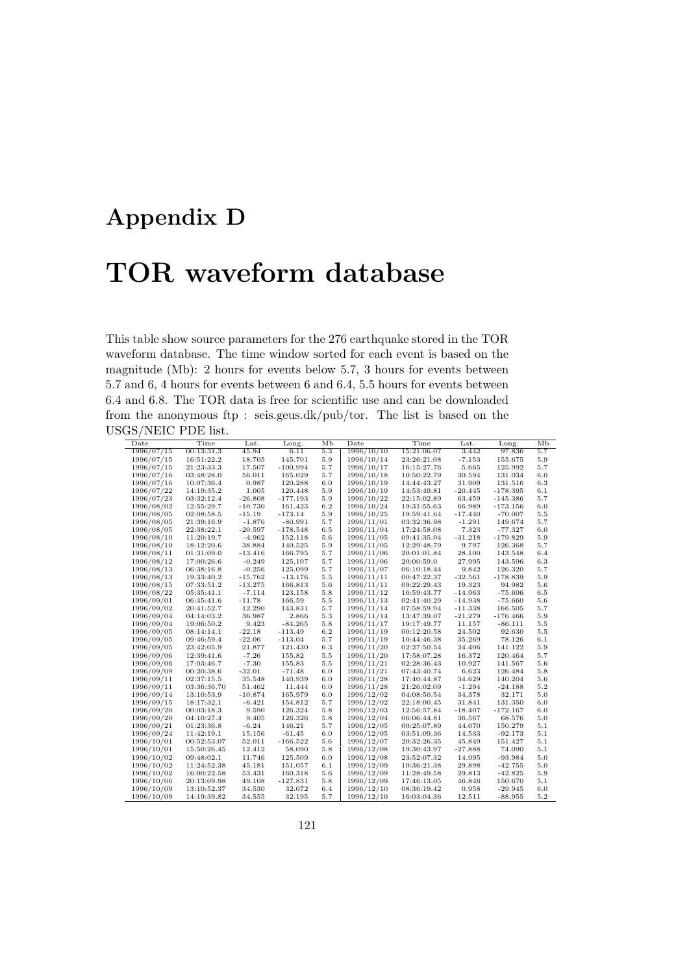## **Appendix D**

## **TOR waveform database**

This table show source parameters for the 276 earthquake stored in the TOR waveform database. The time window sorted for each event is based on the magnitude (Mb): 2 hours for events below 5.7, 3 hours for events between 5.7 and 6, 4 hours for events between 6 and 6.4, 5.5 hours for events between 6.4 and 6.8. The TOR data is free for scientific use and can be downloaded from the anonymous ftp : seis.geus.dk/pub/tor. The list is based on the USGS/NEIC PDE list.

| Date       | Time        | Lat.      | Long.      | Мb      | Date       | Time        | Lat.      | Long.      | Мb  |
|------------|-------------|-----------|------------|---------|------------|-------------|-----------|------------|-----|
| 1996/07/15 | 00:13:31.3  | 45.94     | 6.11       | 5.3     | 1996/10/10 | 15:21:06.07 | 3.442     | 97.836     | 5.7 |
| 1996/07/15 | 16:51:22.2  | 18.705    | 145.701    | 5.9     | 1996/10/14 | 23:26:21.08 | $-7.153$  | 155.675    | 5.9 |
| 1996/07/15 | 21:23:33.3  | 17.507    | $-100.994$ | 5.7     | 1996/10/17 | 16:15:27.76 | 5.665     | 125.992    | 5.7 |
| 1996/07/16 | 03:48:28.0  | 56.011    | 165.029    | 5.7     | 1996/10/18 | 10:50:22.79 | 30.594    | 131.034    | 6.0 |
| 1996/07/16 | 10:07:36.4  | 0.987     | 120.288    | 6.0     | 1996/10/19 | 14:44:43.27 | 31.909    | 131.516    | 6.3 |
| 1996/07/22 | 14:19:35.2  | 1.005     | 120.448    | 5.9     | 1996/10/19 | 14:53:49.81 | $-20.445$ | $-178.395$ | 6.1 |
| 1996/07/23 | 03:32:12.4  | $-26.808$ | $-177.193$ | 5.9     | 1996/10/22 | 22:15:02.89 | 63.459    | $-145.386$ | 5.7 |
| 1996/08/02 | 12:55:29.7  | $-10.730$ | 161.423    | 6.2     | 1996/10/24 | 19:31:55.63 | 66.989    | $-173.156$ | 6.0 |
| 1996/08/05 | 02:08:58.5  | $-15.19$  | $-173.14$  | 5.9     | 1996/10/25 | 19:59:41.64 | $-17.440$ | $-70.007$  | 5.5 |
| 1996/08/05 | 21:39:16.9  | $-1.876$  | $-80.991$  | 5.7     | 1996/11/01 | 03:32:36.98 | $-1.291$  | 149.674    | 5.7 |
| 1996/08/05 | 22:38:22.1  | $-20.597$ | $-178.548$ | 6.5     | 1996/11/04 | 17:24:58.08 | 7.323     | $-77.327$  | 6.0 |
| 1996/08/10 | 11:20:19.7  | $-4.962$  | 152.118    | 5.6     | 1996/11/05 | 09:41:35.04 | $-31.218$ | $-179.829$ | 5.9 |
| 1996/08/10 | 18:12:20.6  | 38.884    | 140.525    | 5.9     | 1996/11/05 | 12:29:48.79 | 9.797     | 126.368    | 5.7 |
| 1996/08/11 | 01:31:09.0  | $-13.416$ | 166.795    | 5.7     | 1996/11/06 | 20:01:01.84 | 28.100    | 143.548    | 6.4 |
| 1996/08/12 | 17:00:26.6  | $-0.249$  | 125.107    | 5.7     | 1996/11/06 | 20:00:59.0  | 27.995    | 143.596    | 6.3 |
| 1996/08/13 | 06:38:16.8  | $-0.256$  | 125.099    | 5.7     | 1996/11/07 | 06:10:18.44 | 9.842     | 126.320    | 5.7 |
| 1996/08/13 | 19:33:40.2  | $-15.762$ | $-13.176$  | $5.5\,$ | 1996/11/11 | 00:47:22.37 | $-32.561$ | $-178.839$ | 5.9 |
| 1996/08/15 | 07:33:51.2  | $-13.275$ | 166.813    | 5.6     | 1996/11/11 | 09:22:29.43 | 19.323    | 94.982     | 5.6 |
| 1996/08/22 | 05:35:41.1  | $-7.114$  | 123.158    | 5.8     | 1996/11/12 | 16:59:43.77 | $-14.963$ | $-75.606$  | 6.5 |
| 1996/09/01 | 06:45:41.6  | $-11.78$  | 166.59     | 5.5     | 1996/11/13 | 02:41:40.29 | $-14.938$ | $-75.660$  | 5.6 |
| 1996/09/02 | 20:41:52.7  | 12.290    | 143.831    | 5.7     | 1996/11/14 | 07:58:59.94 | $-11.338$ | 166.505    | 5.7 |
| 1996/09/04 | 04:14:03.2  | 36.987    | 2.866      | 5.3     | 1996/11/14 | 13:47:39.07 | $-21.279$ | $-176.466$ | 5.9 |
| 1996/09/04 | 19:06:50.2  | 9.423     | $-84.265$  | 5.8     | 1996/11/17 | 19:17:49.77 | 11.157    | $-86.111$  | 5.5 |
| 1996/09/05 | 08:14:14.1  | $-22.18$  | $-113.49$  | 6.2     | 1996/11/19 | 00:12:20.58 | 24.502    | 92.630     | 5.5 |
| 1996/09/05 | 09:46:59.4  | $-22.06$  | $-113.04$  | 5.7     | 1996/11/19 | 10:44:46.38 | 35.269    | 78.126     | 6.1 |
| 1996/09/05 | 23:42:05.9  | 21.877    | 121.430    | 6.3     | 1996/11/20 | 02:27:50.54 | 34.406    | 141.122    | 5.9 |
| 1996/09/06 | 12:39:41.6  | $-7.26$   | 155.82     | 5.5     | 1996/11/20 | 17:58:07.28 | 16.372    | 120.464    | 5.7 |
| 1996/09/06 | 17:03:46.7  | $-7.30$   | 155.83     | 5.5     | 1996/11/21 | 02:28:36.43 | 10.927    | 141.567    | 5.6 |
| 1996/09/09 | 00:20:38.6  | $-32.01$  | $-71.48$   | 6.0     | 1996/11/21 | 07:43:40.74 | 6.623     | 126.484    | 5.8 |
| 1996/09/11 | 02:37:15.5  | 35.548    | 140.939    | 6.0     | 1996/11/28 | 17:40:44.87 | 34.629    | 140.204    | 5.6 |
| 1996/09/11 | 03:36:36.70 | 51.462    | 11.444     | 0.0     | 1996/11/28 | 21:26:02.09 | $-1.294$  | $-24.188$  | 5.2 |
| 1996/09/14 | 13:10:53.9  | $-10.874$ | 165.979    | 6.0     | 1996/12/02 | 04:08:50.54 | 34.378    | 32.171     | 5.0 |
| 1996/09/15 | 18:17:32.1  | $-6.421$  | 154.812    | 5.7     | 1996/12/02 | 22:18:00.45 | 31.841    | 131.350    | 6.0 |
| 1996/09/20 | 00:03:18.3  | 9.590     | 126.324    | 5.8     | 1996/12/03 | 12:56:57.84 | $-18.407$ | $-172.167$ | 6.0 |
| 1996/09/20 | 04:10:27.4  | 9.405     | 126.326    | 5.8     | 1996/12/04 | 06:06:44.81 | 36.567    | 68.576     | 5.0 |
| 1996/09/21 | 01:23:36.8  | $-6.24$   | 146.21     | 5.7     | 1996/12/05 | 00:25:07.89 | 44.070    | 150.279    | 5.1 |
| 1996/09/24 | 11:42:19.1  | 15.156    | $-61.45$   | 6.0     | 1996/12/05 | 03:51:09.36 | 14.533    | $-92.173$  | 5.1 |
| 1996/10/01 | 00:52:53.07 | 52.011    | $-166.522$ | 5.6     | 1996/12/07 | 20:32:26.35 | 45.849    | 151.427    | 5.1 |
| 1996/10/01 | 15:50:26.45 | 12.412    | 58.090     | 5.8     | 1996/12/08 | 19:30:43.97 | $-27.888$ | 74.090     | 5.1 |
| 1996/10/02 | 09:48:02.1  | 11.746    | 125.509    | 6.0     | 1996/12/08 | 23:52:07.32 | 14.995    | $-93.984$  | 5.0 |
| 1996/10/02 | 11:24:52.38 | 45.181    | 151.057    | 6.1     | 1996/12/09 | 10:36:21.38 | 29.898    | $-42.755$  | 5.0 |
| 1996/10/02 | 16:00:22.58 | 53.431    | 160.318    | 5.6     | 1996/12/09 | 11:28:49.58 | 29.813    | $-42.825$  | 5.9 |
| 1996/10/06 | 20:13:09.98 | 49.108    | $-127.831$ | 5.8     | 1996/12/09 | 17:46:13.05 | 46.846    | 150.670    | 5.1 |
| 1996/10/09 | 13:10:52.37 | 34.530    | 32.072     | 6.4     | 1996/12/10 | 08:36:19.42 | 0.958     | $-29.945$  | 6.0 |
| 1996/10/09 | 14:19:39.82 | 34.555    | 32.195     | 5.7     | 1996/12/10 | 16:03:04.36 | 12.511    | $-88.955$  | 5.2 |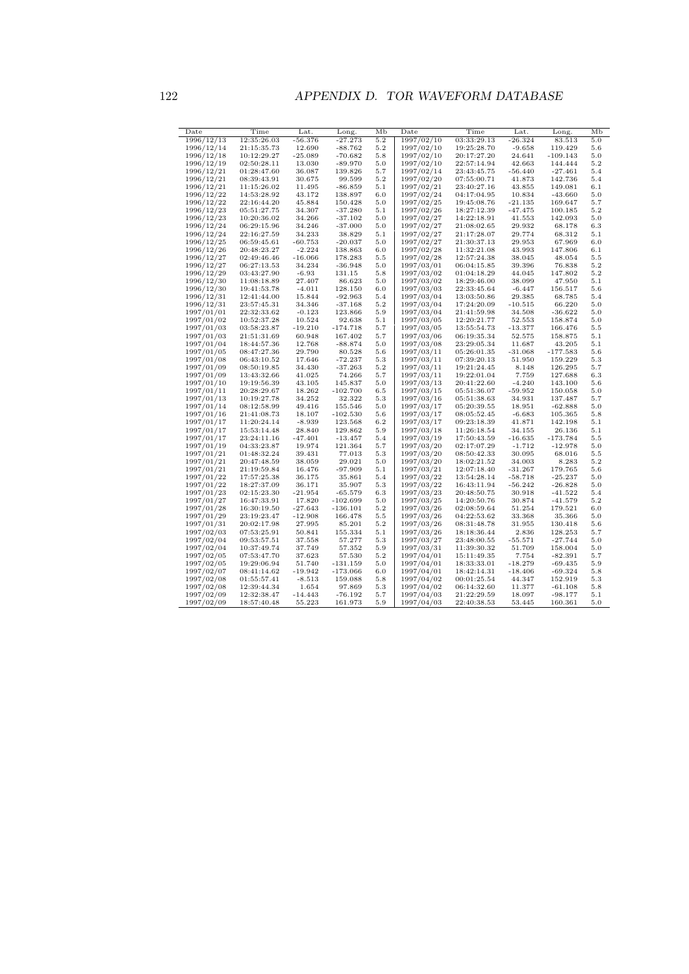| Date       | Time        | $_{\rm Lat.}$ | Long.      | Мb  | Date       | Time        | $_{\rm Lat.}$ | Long.      | Мb       |
|------------|-------------|---------------|------------|-----|------------|-------------|---------------|------------|----------|
| 1996/12/13 | 12:35:26.03 | -56.376       | $-27.273$  | 5.2 | 1997/02/10 | 03:33:29.13 | $-26.324$     | 83.513     | 5.0      |
| 1996/12/14 | 21:15:35.73 | 12.690        | $-88.762$  | 5.2 | 1997/02/10 | 19:25:28.70 | $-9.658$      | 119.429    | 5.6      |
| 1996/12/18 | 10:12:29.27 | -25.089       | $-70.682$  | 5.8 | 1997/02/10 | 20:17:27.20 | 24.641        | $-109.143$ | 5.0      |
| 1996/12/19 | 02:50:28.11 | 13.030        | -89.970    | 5.0 | 1997/02/10 | 22:57:14.94 | 42.663        | 144.444    | 5.2      |
| 1996/12/21 | 01:28:47.60 | 36.087        | 139.826    | 5.7 | 1997/02/14 | 23:43:45.75 | -56.440       | $-27.461$  | 5.4      |
| 1996/12/21 | 08:39:43.91 | 30.675        | 99.599     | 5.2 | 1997/02/20 | 07:55:00.71 | 41.873        | 142.736    | 5.4      |
| 1996/12/21 | 11:15:26.02 | 11.495        | $-86.859$  | 5.1 | 1997/02/21 | 23:40:27.16 | 43.855        | 149.081    | 6.1      |
| 1996/12/22 | 14:53:28.92 | 43.172        | 138.897    | 6.0 | 1997/02/24 | 04:17:04.95 | 10.834        | $-43.660$  | 5.0      |
| 1996/12/22 | 22:16:44.20 | 45.884        | 150.428    | 5.0 | 1997/02/25 | 19:45:08.76 | -21.135       | 169.647    | 5.7      |
| 1996/12/23 | 05:51:27.75 | 34.307        | $-37.280$  | 5.1 | 1997/02/26 | 18:27:12.39 | -47.475       | 100.185    | 5.2      |
| 1996/12/23 | 10:20:36.02 | 34.266        | $-37.102$  | 5.0 | 1997/02/27 | 14:22:18.91 | 41.553        | 142.093    | 5.0      |
| 1996/12/24 | 06:29:15.96 | 34.246        | $-37.000$  | 5.0 | 1997/02/27 | 21:08:02.65 | 29.932        | 68.178     | 6.3      |
| 1996/12/24 | 22:16:27.59 | 34.233        | 38.829     | 5.1 | 1997/02/27 | 21:17:28.07 | 29.774        | 68.312     | 5.1      |
| 1996/12/25 | 06:59:45.61 | -60.753       | $-20.037$  | 5.0 | 1997/02/27 | 21:30:37.13 | 29.953        | 67.969     | $_{6.0}$ |
| 1996/12/26 | 20:48:23.27 | $-2.224$      | 138.863    | 6.0 | 1997/02/28 | 11:32:21.08 | 43.993        | 147.806    | 6.1      |
| 1996/12/27 | 02:49:46.46 | $-16.066$     | 178.283    | 5.5 | 1997/02/28 | 12:57:24.38 | 38.045        | 48.054     | $^{5.5}$ |
| 1996/12/27 | 06:27:13.53 | 34.234        | $-36.948$  | 5.0 | 1997/03/01 | 06:04:15.85 | 39.396        | 76.838     | 5.2      |
|            |             |               |            |     |            |             |               |            |          |
| 1996/12/29 | 03:43:27.90 | $-6.93$       | 131.15     | 5.8 | 1997/03/02 | 01:04:18.29 | 44.045        | 147.802    | 5.2      |
| 1996/12/30 | 11:08:18.89 | 27.407        | 86.623     | 5.0 | 1997/03/02 | 18:29:46.00 | 38.099        | 47.950     | 5.1      |
| 1996/12/30 | 19:41:53.78 | $-4.011$      | 128.150    | 6.0 | 1997/03/03 | 22:33:45.64 | -6.447        | 156.517    | 5.6      |
| 1996/12/31 | 12:41:44.00 | 15.844        | $-92.963$  | 5.4 | 1997/03/04 | 13:03:50.86 | 29.385        | 68.785     | 5.4      |
| 1996/12/31 | 23:57:45.31 | 34.346        | $-37.168$  | 5.2 | 1997/03/04 | 17:24:20.09 | $-10.515$     | 66.220     | 5.0      |
| 1997/01/01 | 22:32:33.62 | $-0.123$      | 123.866    | 5.9 | 1997/03/04 | 21:41:59.98 | 34.508        | $-36.622$  | 5.0      |
| 1997/01/02 | 10:52:37.28 | 10.524        | 92.638     | 5.1 | 1997/03/05 | 12:20:21.77 | 52.553        | 158.874    | 5.0      |
| 1997/01/03 | 03:58:23.87 | -19.210       | $-174.718$ | 5.7 | 1997/03/05 | 13:55:54.73 | $-13.377$     | 166.476    | 5.5      |
| 1997/01/03 | 21:51:31.69 | 60.948        | 167.402    | 5.7 | 1997/03/06 | 06:19:35.34 | 52.575        | 158.875    | 5.1      |
| 1997/01/04 | 18:44:57.36 | 12.768        | $-88.874$  | 5.0 | 1997/03/08 | 23:29:05.34 | 11.687        | 43.205     | 5.1      |
| 1997/01/05 | 08:47:27.36 | 29.790        | 80.528     | 5.6 | 1997/03/11 | 05:26:01.35 | $-31.068$     | $-177.583$ | 5.6      |
| 1997/01/08 | 06:43:10.52 | 17.646        | $-72.237$  | 5.3 | 1997/03/11 | 07:39:20.13 | 51.950        | 159.229    | 5.3      |
| 1997/01/09 | 08:50:19.85 | 34.430        | $-37.263$  | 5.2 | 1997/03/11 | 19:21:24.45 | 8.148         | 126.295    | 5.7      |
| 1997/01/09 | 13:43:32.66 | 41.025        | 74.266     | 5.7 | 1997/03/11 | 19:22:01.04 | 7.759         | 127.688    | 6.3      |
| 1997/01/10 | 19:19:56.39 | 43.105        | 145.837    | 5.0 | 1997/03/13 | 20:41:22.60 | $-4.240$      | 143.100    | 5.6      |
| 1997/01/11 | 20:28:29.67 | 18.262        | $-102.700$ | 6.5 | 1997/03/15 | 05:51:36.07 | $-59.952$     | 150.058    | 5.0      |
| 1997/01/13 | 10:19:27.78 | 34.252        | 32.322     | 5.3 | 1997/03/16 | 05:51:38.63 | 34.931        | 137.487    | 5.7      |
| 1997/01/14 | 08:12:58.99 | 49.416        | 155.546    | 5.0 | 1997/03/17 | 05:20:39.55 | 18.951        | $-62.888$  | 5.0      |
| 1997/01/16 | 21:41:08.73 | 18.107        | $-102.530$ | 5.6 | 1997/03/17 | 08:05:52.45 | -6.683        | 105.365    | $_{5.8}$ |
| 1997/01/17 | 11:20:24.14 | -8.939        | 123.568    | 6.2 | 1997/03/17 | 09:23:18.39 | 41.871        | 142.198    | 5.1      |
| 1997/01/17 | 15:53:14.48 | 28.840        | 129.862    | 5.9 | 1997/03/18 | 11:26:18.54 | 34.155        | 26.136     | 5.1      |
| 1997/01/17 | 23:24:11.16 | $-47.401$     | $-13.457$  | 5.4 | 1997/03/19 | 17:50:43.59 | $-16.635$     | $-173.784$ | $^{5.5}$ |
| 1997/01/19 | 04:33:23.87 | 19.974        | 121.364    | 5.7 | 1997/03/20 | 02:17:07.29 | -1.712        | -12.978    | 5.0      |
| 1997/01/21 | 01:48:32.24 | 39.431        | 77.013     | 5.3 | 1997/03/20 | 08:50:42.33 | 30.095        | 68.016     | $^{5.5}$ |
| 1997/01/21 | 20:47:48.59 | 38.059        | 29.021     | 5.0 | 1997/03/20 | 18:02:21.52 | 34.003        | 8.283      | 5.2      |
| 1997/01/21 | 21:19:59.84 | 16.476        | $-97.909$  | 5.1 | 1997/03/21 | 12:07:18.40 | $-31.267$     | 179.765    | 5.6      |
| 1997/01/22 | 17:57:25.38 | 36.175        | 35.861     | 5.4 | 1997/03/22 | 13:54:28.14 | $-58.718$     | $-25.237$  | 5.0      |
| 1997/01/22 | 18:27:37.09 | 36.171        | 35.907     | 5.3 | 1997/03/22 | 16:43:11.94 | $-56.242$     | $-26.828$  | 5.0      |
| 1997/01/23 | 02:15:23.30 | -21.954       | $-65.579$  | 6.3 | 1997/03/23 | 20:48:50.75 | 30.918        | -41.522    | 5.4      |
| 1997/01/27 | 16:47:33.91 | 17.820        | $-102.699$ | 5.0 | 1997/03/25 | 14:20:50.76 | 30.874        | -41.579    | 5.2      |
| 1997/01/28 | 16:30:19.50 | -27.643       | $-136.101$ | 5.2 | 1997/03/26 | 02:08:59.64 | 51.254        | 179.521    | $_{6.0}$ |
| 1997/01/29 | 23:19:23.47 | $-12.908$     | 166.478    | 5.5 | 1997/03/26 | 04:22:53.62 | 33.368        | 35.366     | 5.0      |
| 1997/01/31 | 20:02:17.98 | 27.995        | 85.201     | 5.2 | 1997/03/26 | 08:31:48.78 | 31.955        | 130.418    | 5.6      |
| 1997/02/03 | 07:53:25.91 | 50.841        | 155.334    | 5.1 | 1997/03/26 | 18:18:36.44 | 2.836         | 128.253    | 5.7      |
| 1997/02/04 | 09:53:57.51 | 37.558        | 57.277     | 5.3 | 1997/03/27 | 23:48:00.55 | $-55.571$     | $-27.744$  | 5.0      |
| 1997/02/04 | 10:37:49.74 | 37.749        | 57.352     | 5.9 | 1997/03/31 | 11:39:30.32 | 51.709        | 158.004    | 5.0      |
| 1997/02/05 | 07:53:47.70 | 37.623        | 57.530     | 5.2 | 1997/04/01 | 15:11:49.35 | 7.754         | $-82.391$  | 5.7      |
| 1997/02/05 | 19:29:06.94 | 51.740        | $-131.159$ | 5.0 | 1997/04/01 | 18:33:33.01 | $-18.279$     | -69.435    | 5.9      |
| 1997/02/07 | 08:41:14.62 | $-19.942$     | $-173.066$ | 6.0 | 1997/04/01 | 18:42:14.31 | $-18.406$     | -69.324    | 5.8      |
|            | 01:55:57.41 | $-8.513$      | 159.088    | 5.8 | 1997/04/02 | 00:01:25.54 | 44.347        | 152.919    | 5.3      |
| 1997/02/08 | 12:39:44.34 |               |            |     |            | 06:14:32.60 | 11.377        | -61.108    |          |
| 1997/02/08 |             | 1.654         | 97.869     | 5.3 | 1997/04/02 |             |               |            | 5.8      |
| 1997/02/09 | 12:32:38.47 | -14.443       | -76.192    | 5.7 | 1997/04/03 | 21:22:29.59 | 18.097        | $-98.177$  | 5.1      |
| 1997/02/09 | 18:57:40.48 | 55.223        | 161.973    | 5.9 | 1997/04/03 | 22:40:38.53 | 53.445        | 160.361    | 5.0      |